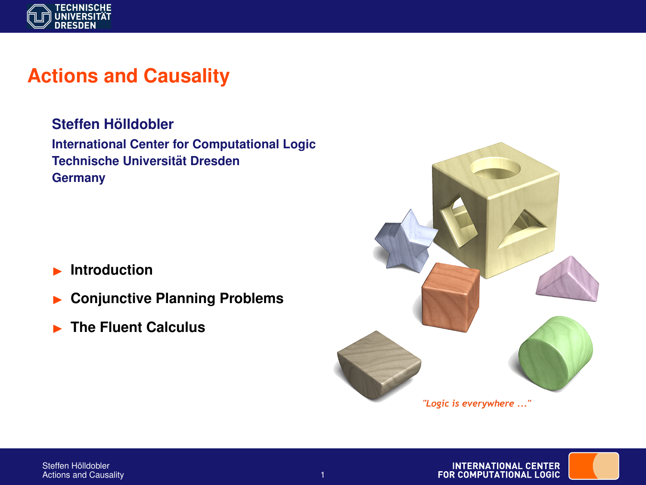

# **Actions and Causality**

**Steffen Holldobler ¨ International Center for Computational Logic Technische Universitat Dresden ¨ Germany**

- **Introduction**
- **EXECUTE:** Conjunctive Planning Problems
- **EXECUTE:** The Fluent Calculus



**INTERNATIONAL CENTER** FOR COMPUTATIONAL LOGIC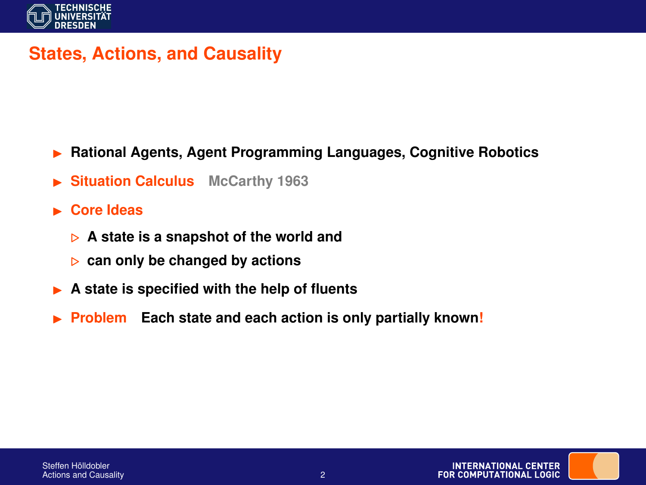

### **States, Actions, and Causality**

- **▶ Rational Agents, Agent Programming Languages, Cognitive Robotics**
- **Situation Calculus** McCarthy 1963
- **Example 2** Core Ideas
	- . **A state is a snapshot of the world and**
	- . **can only be changed by actions**
- ▶ A state is specified with the help of fluents
- **Problem Each state and each action is only partially known!**

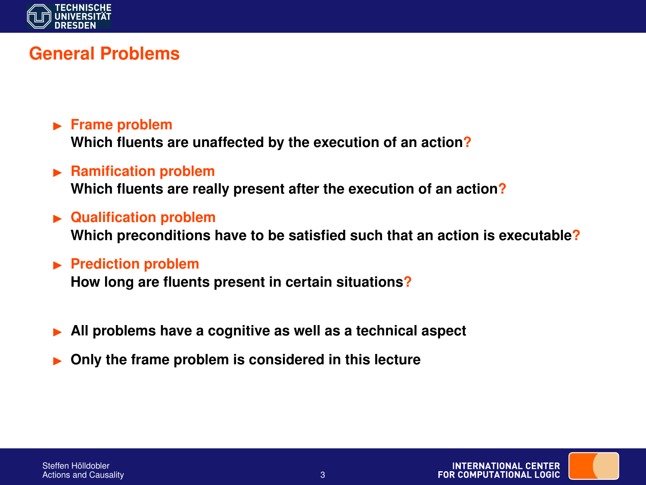

## **General Problems**

- **Frame problem Which fluents are unaffected by the execution of an action?**
- **EXAMPLE PRAMIFICATION PRODUCED Which fluents are really present after the execution of an action?**
- $\blacktriangleright$  **Qualification problem Which preconditions have to be satisfied such that an action is executable?**
- **Prediction problem**

**How long are fluents present in certain situations?**

- I **All problems have a cognitive as well as a technical aspect**
- I **Only the frame problem is considered in this lecture**

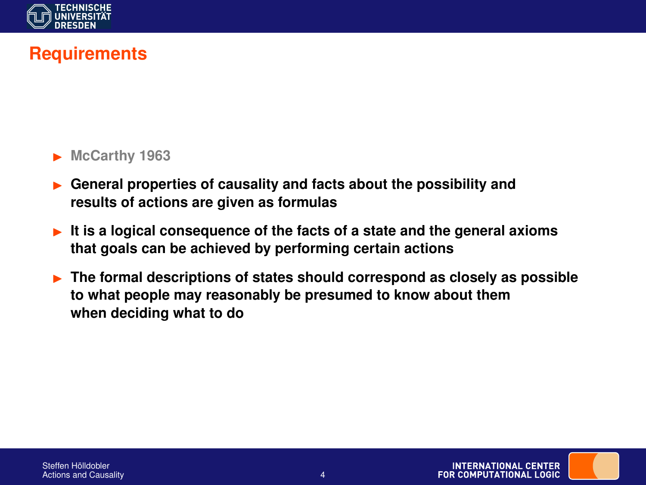

## **Requirements**

#### McCarthy 1963

- I **General properties of causality and facts about the possibility and results of actions are given as formulas**
- **It is a logical consequence of the facts of a state and the general axioms that goals can be achieved by performing certain actions**
- **Fig. 3** The formal descriptions of states should correspond as closely as possible **to what people may reasonably be presumed to know about them when deciding what to do**

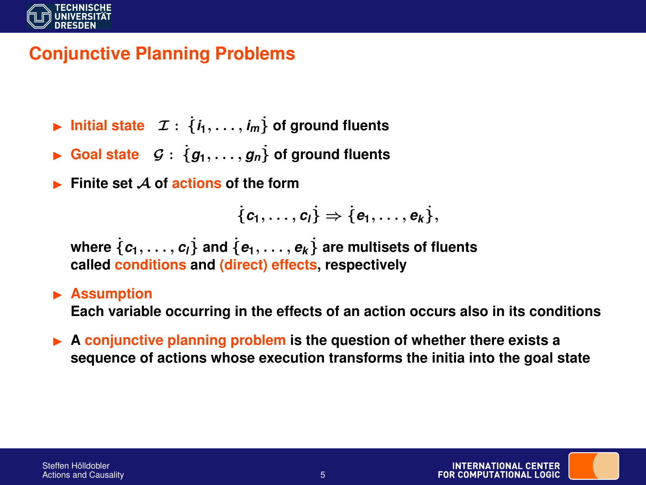

# **Conjunctive Planning Problems**

- **Example 1** Initial state  $\mathcal{I}: \{i_1, \ldots, i_m\}$  of ground fluents
- **Example 3** Goal state  $G : \{g_1, \ldots, g_n\}$  of ground fluents
- I **Finite set** A **of actions of the form**

$$
\{c_1,\ldots,c_l\}\Rightarrow\{e_1,\ldots,e_k\},
$$

where  $\{c_1, \ldots, c_l\}$  and  $\{e_1, \ldots, e_k\}$  are multisets of fluents **called conditions and (direct) effects, respectively**

#### **Assumption**

**Each variable occurring in the effects of an action occurs also in its conditions**

**► A conjunctive planning problem is the question of whether there exists a sequence of actions whose execution transforms the initia into the goal state**

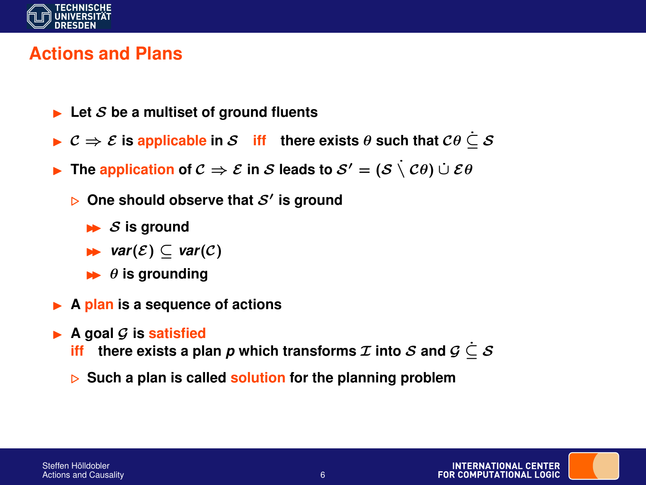

### **Actions and Plans**

- $\blacktriangleright$  Let S be a multiset of ground fluents
- **►**  $C \Rightarrow \mathcal{E}$  is applicable in S **iff** there exists  $\theta$  such that  $C\theta \subseteq S$
- **Figure Figure 1 Figure 1 C**  $\Rightarrow$  E **in** S **leads to**  $S' = (S \setminus \mathcal{C}\theta) \cup \mathcal{E}\theta$ 
	- $\triangleright$  One should observe that  $\mathcal{S}'$  is ground
		- $\triangleright$  *S* is ground
		- $\triangleright$  *var*(*E*) ⊂ *var*(*C*)
		- $\rightarrow$   $\theta$  is grounding
- ▶ **A plan** is a sequence of actions
- $\blacktriangleright$  A goal G is **satisfied** 
	- **iff** there exists a plan *p* which transforms  $\mathcal I$  into  $\mathcal S$  and  $\mathcal G \subset \mathcal S$
	- . **Such a plan is called solution for the planning problem**

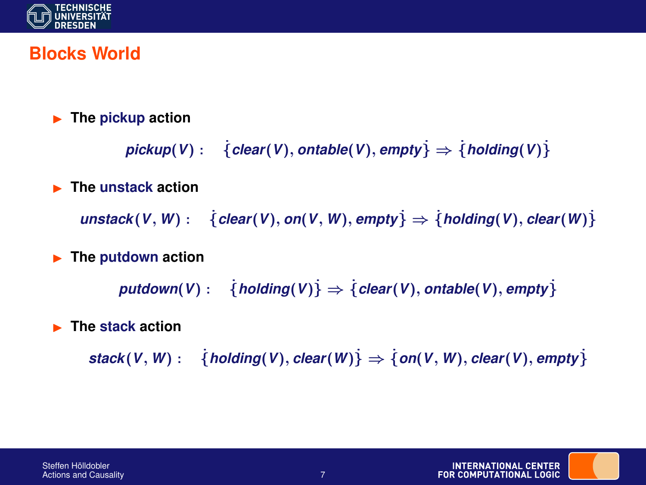

### **Blocks World**

#### $\blacktriangleright$  The pickup action

```
pickup(V): {clear(V), ontable(V), empty\} \Rightarrow {holding(V)}
```
#### **EXECUTE:** The unstack action

 $u$ nstack $(V, W)$  :  $\{clear(V), on(V, W), empty\}$   $\Rightarrow$  { $holding(V), clear(W)$ }

#### $\blacktriangleright$  The putdown action

 $p$ utdown(*V*) : { $h$ olding(*V*)}  $\Rightarrow$  { $c$ lear(*V*), ontable(*V*), empty}

#### **EXECUTE:** The stack action

 $stack(V, W): \{ holding(V), clear(W) \} \Rightarrow \{ on(V, W), clear(V), empty \}$ 

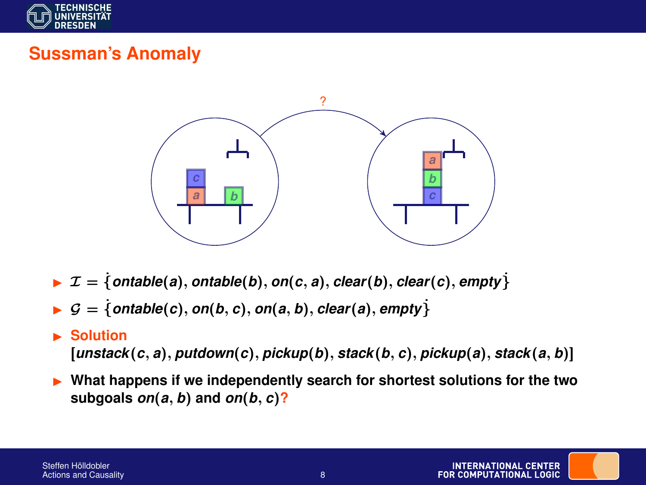

# **Sussman's Anomaly**



- $\triangleright$   $\mathcal{I} = \{ \text{ontable}(a), \text{ontable}(b), \text{on}(c, a), \text{clear}(b), \text{clear}(c), \text{empty} \}$
- $G = \{ \text{ontable}(c), \text{on}(b, c), \text{on}(a, b), \text{clear}(a), \text{empty} \}$

#### **Solution**

[*unstack*(*c*, *a*), *putdown*(*c*), *pickup*(*b*), *stack*(*b*, *c*), *pickup*(*a*), *stack*(*a*, *b*)]

I **What happens if we independently search for shortest solutions for the two subgoals** *on*(*a*, *b*) **and** *on*(*b*, *c*)**?**

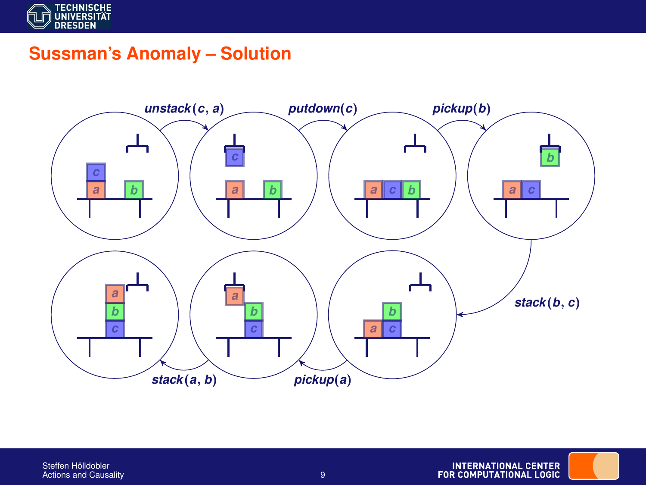

## **Sussman's Anomaly – Solution**

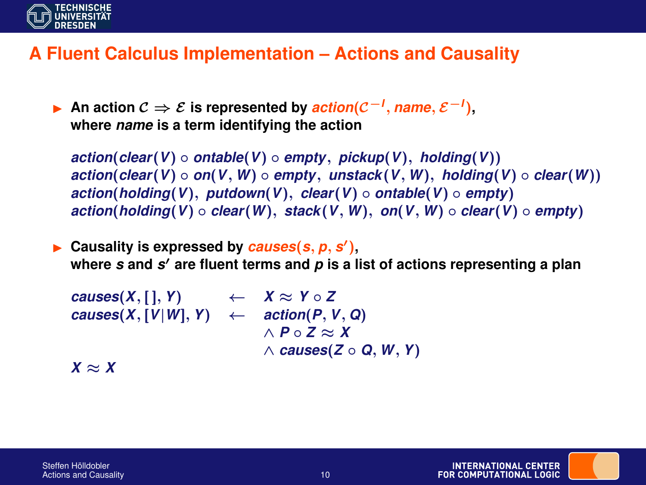

### **A Fluent Calculus Implementation – Actions and Causality**

I **An action** C ⇒ E **is represented by** *action*(C−*<sup>I</sup>* , *name*, E−*<sup>I</sup>* )**, where** *name* **is a term identifying the action**

*action*(*clear*(*V*) ◦ *ontable*(*V*) ◦ *empty*, *pickup*(*V*), *holding*(*V*)) *action*(*clear*(*V*) ◦ *on*(*V*, *W*) ◦ *empty*, *unstack*(*V*, *W*), *holding*(*V*) ◦ *clear*(*W*)) *action*(*holding*(*V*), *putdown*(*V*), *clear*(*V*) ◦ *ontable*(*V*) ◦ *empty*) *action*(*holding*(*V*) ◦ *clear*(*W*), *stack*(*V*, *W*), *on*(*V*, *W*) ◦ *clear*(*V*) ◦ *empty*)

 $\blacktriangleright$  Causality is expressed by *causes*( $s, p, s'$ ), **where** *s* **and** *s* <sup>0</sup> **are fluent terms and** *p* **is a list of actions representing a plan**

 $causes(X, [ ], Y)$  ←  $X \approx Y \circ Z$  $causes(X, [V|W], Y) \leftarrow action(P, V, Q)$ ∧ *P* ◦ *Z* ≈ *X* ∧ *causes*(*Z* ◦ *Q*, *W*, *Y*)

 $X \approx X$ 

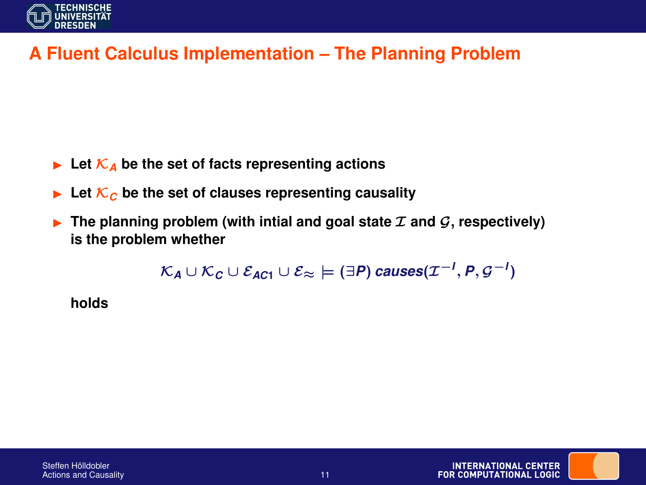

## **A Fluent Calculus Implementation – The Planning Problem**

- $\blacktriangleright$  Let  $\mathcal{K}_A$  be the set of facts representing actions
- $\blacktriangleright$  Let  $\mathcal{K}_c$  be the set of clauses representing causality
- **Figure 1** The planning problem (with intial and goal state  $\mathcal{I}$  and  $\mathcal{G}$ , respectively) **is the problem whether**

$$
\mathcal{K}_A \cup \mathcal{K}_C \cup \mathcal{E}_{AC1} \cup \mathcal{E}_{\approx} \models (\exists P) \text{ causes}(\mathcal{I}^{-1}, P, \mathcal{G}^{-1})
$$

**holds**

Steffen Hölldobler

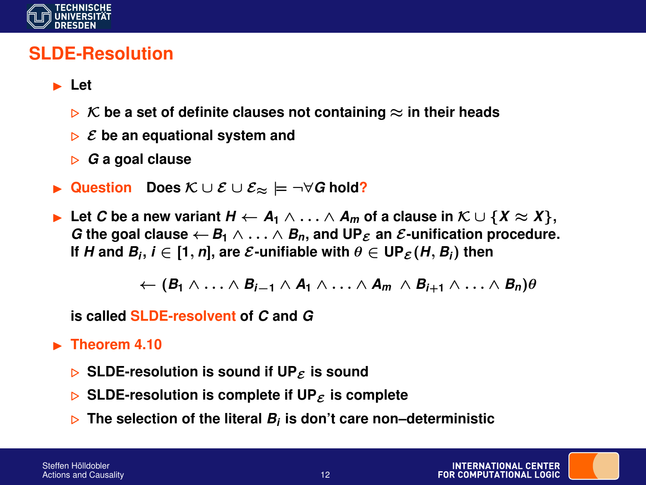

### **SLDE-Resolution**

- I **Let**
	- **► K** be a set of definite clauses not containing  $\approx$  in their heads
	- $\triangleright$   $\epsilon$  be an equational system and
	- . *G* **a goal clause**
- I **Question Does** K ∪ E ∪ E<sup>≈</sup> |= ¬∀*G* **hold?**
- **►** Let *C* be a new variant  $H \leftarrow A_1 \wedge \ldots \wedge A_m$  of a clause in  $K \cup \{X \approx X\}$ , *G* the goal clause  $\leftarrow$  *B*<sub>1</sub>  $\land \dots \land$  *B*<sub>*n*</sub>, and UP<sub>*E*</sub> an *E*-unification procedure. **If**  $H$  and  $B_i$ ,  $i \in [1, n]$ , are  $\mathcal{E}\text{-}\text{unifiable with } \theta \in \mathsf{UP}_{\mathcal{E}}(H, B_i)$  then

$$
\leftarrow (B_1 \land \ldots \land B_{i-1} \land A_1 \land \ldots \land A_m \land B_{i+1} \land \ldots \land B_n)\theta
$$

**is called SLDE-resolvent of** *C* **and** *G*

#### $\blacktriangleright$  Theorem 4.10

- $\triangleright$  SLDE-resolution is sound if UP<sub>E</sub> is sound
- $\triangleright$  SLDE-resolution is complete if UP<sub>E</sub> is complete
- $\triangleright$  The selection of the literal  $B_i$  is don't care non–deterministic

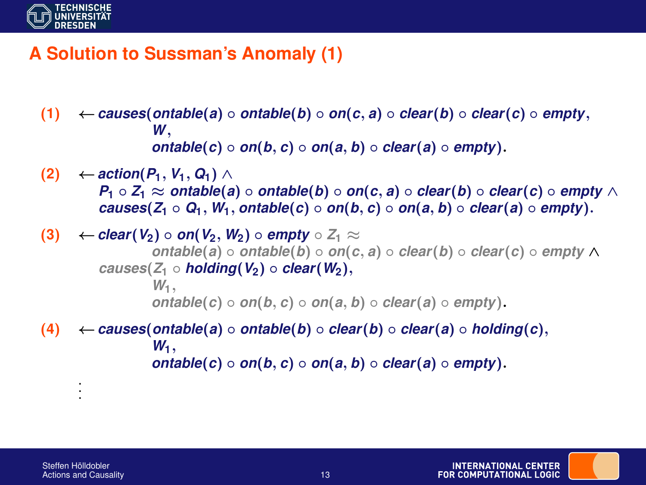

## **A Solution to Sussman's Anomaly (1)**

- (**1**) ←*causes*(*ontable*(*a*) *ontable*(*b*) *on*(*c*, *a*) *clear*(*b*) *clear*(*c*) *empty*, *W*, *ontable*(*c*)  $\circ$  *on*(*b*, *c*)  $\circ$  *on*(*a*, *b*)  $\circ$  *clear*(*a*)  $\circ$  *empty*).
- $(2)$  ← *action* $(P_1, V_1, Q_1)$  ∧ *P*<sub>1</sub> ◦ *Z*<sub>1</sub> ≈ *ontable*(*a*) ◦ *ontable*(*b*) ◦ *on*(*c*, *a*) ◦ *clear*(*b*) ◦ *clear*(*c*) ◦ *empty* ∧ *causes*( $Z_1 \circ Q_1$ ,  $W_1$ , *ontable*(*c*)  $\circ$  *on*(*b*, *c*)  $\circ$  *on*(*a*, *b*)  $\circ$  *clear*(*a*)  $\circ$  *empty*).
- (**3**) ← *clear*(*V*<sub>2</sub>) *on*(*V*<sub>2</sub>, *W*<sub>2</sub>) *empty*  $Z_1$  ≈ *ontable*(*a*) ◦ *ontable*(*b*) ◦ *on*(*c*, *a*) ◦ *clear*(*b*) ◦ *clear*(*c*) ◦ *empty* ∧  $causes(Z_1 \circ holding(V_2) \circ clear(W_2),$ *W***1**, *ontable*(*c*) ◦ *on*(*b*, *c*) ◦ *on*(*a*, *b*) ◦ *clear*(*a*) ◦ *empty*).
- (**4**) ←*causes*(*ontable*(*a*) *ontable*(*b*) *clear*(*b*) *clear*(*a*) *holding*(*c*),  $W_1$ , *ontable*( $c$ ) ◦  $on(b, c)$  ◦  $on(a, b)$  ◦  $clear(a)$  ◦  $empty)$ .

. . .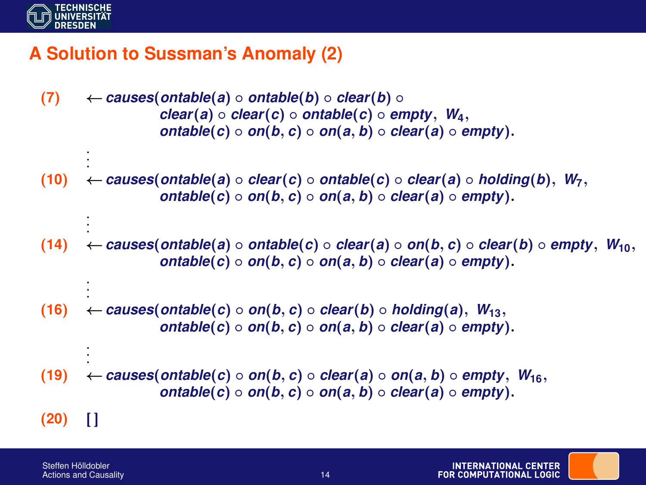

. .

. .

. . .

. .

## **A Solution to Sussman's Anomaly (2)**

- (7)  $\leftarrow$  *causes*(*ontable*(*a*) *ontable*(*b*) *clear*(*b*)  $\mathbf{c}$ *lear*(*a*)  $\circ$  *clear*(*c*)  $\circ$  *ontable*(*c*)  $\circ$  *empty*,  $W_4$ , *ontable*( $c$ ) ◦  $on(b, c)$  ◦  $on(a, b)$  ◦  $clear(a)$  ◦  $empty)$ .
- . (**10**) ←*causes*(*ontable*(*a*) ◦ *clear*(*c*) ◦ *ontable*(*c*) ◦ *clear*(*a*) ◦ *holding*(*b*), *W***7**, *ontable*(*c*)  $\circ$  *on*(*b*, *c*)  $\circ$  *on*(*a*, *b*)  $\circ$  *clear*(*a*)  $\circ$  *empty*).
- . (**14**) ←*causes*(*ontable*(*a*) ◦ *ontable*(*c*) ◦ *clear*(*a*) ◦ *on*(*b*, *c*) ◦ *clear*(*b*) ◦ *empty*, *W***10**, *ontable*(*c*) ◦ *on*(*b*, *c*) ◦ *on*(*a*, *b*) ◦ *clear*(*a*) ◦ *empty*).
- (**16**) ←*causes*(*ontable*(*c*) *on*(*b*, *c*) *clear*(*b*) *holding*(*a*), *W***13**, *ontable*( $c$ ) ◦  $on(b, c)$  ◦  $on(a, b)$  ◦  $clear(a)$  ◦  $empty)$ .
- . (**19**) ←*causes*(*ontable*(*c*) ◦ *on*(*b*, *c*) ◦ *clear*(*a*) ◦ *on*(*a*, *b*) ◦ *empty*, *W***16**, *ontable*( $c$ ) ◦  $on(b, c)$  ◦  $on(a, b)$  ◦  $clear(a)$  ◦  $empty)$ .
- $(20)$  []

Steffen Hölldobler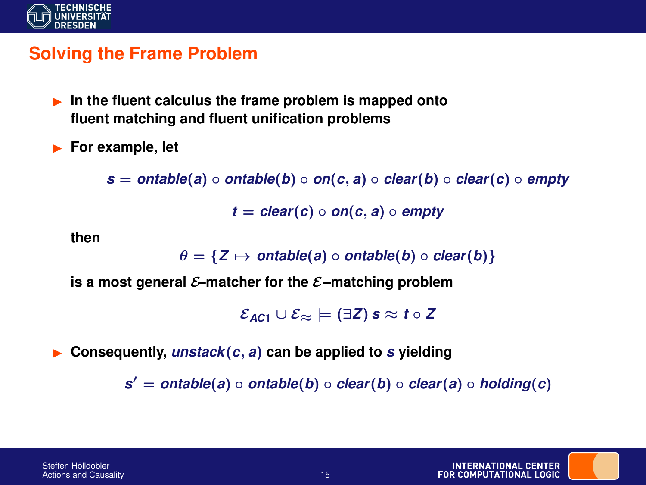

### **Solving the Frame Problem**

- **In the fluent calculus the frame problem is mapped onto fluent matching and fluent unification problems**
- **For example, let**

 $s =$  *ontable*(*a*) ◦ *ontable*(*b*) ◦ *on*(*c*, *a*) ◦ *clear*(*b*) ◦ *clear*(*c*) ◦ *empty* 

 $t = clear(c) \circ on(c, a) \circ empty$ 

**then**

 $\theta = \{Z \mapsto \text{ontable}(a) \circ \text{ontable}(b) \circ \text{clear}(b)\}$ 

is a most general  $\mathcal{E}$ -matcher for the  $\mathcal{E}$ -matching problem

 $\mathcal{E}_{AC1} \cup \mathcal{E}_{\approx} \models (\exists Z) \text{ s} \approx t \circ Z$ 

I **Consequently,** *unstack*(*c*, *a*) **can be applied to** *s* **yielding**

*s* <sup>0</sup> = *ontable*(*a*) ◦ *ontable*(*b*) ◦ *clear*(*b*) ◦ *clear*(*a*) ◦ *holding*(*c*)

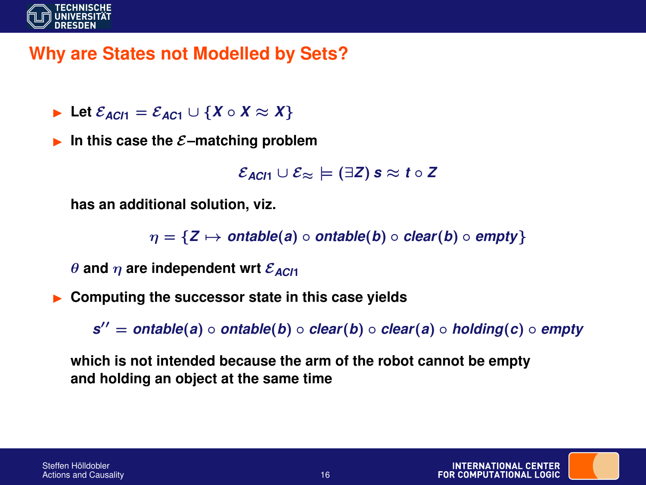

# **Why are States not Modelled by Sets?**

- **►** Let  $\mathcal{E}_{AC11} = \mathcal{E}_{AC1} \cup \{X \circ X \approx X\}$
- **In this case the**  $\mathcal{E}$ **-matching problem**

```
\mathcal{E}_{ACI1} \cup \mathcal{E}_{\approx} \models (\exists Z) \text{ s} \approx t \circ Z
```
**has an additional solution, viz.**

 $\eta = \{Z \mapsto \text{ontable}(a) \circ \text{ontable}(b) \circ \text{clear}(b) \circ \text{empty}\}$ 

 $\theta$  and  $\eta$  are independent wrt  $\mathcal{E}_{AC/1}$ 

I **Computing the successor state in this case yields**

*s* <sup>00</sup> = *ontable*(*a*) ◦ *ontable*(*b*) ◦ *clear*(*b*) ◦ *clear*(*a*) ◦ *holding*(*c*) ◦ *empty*

**which is not intended because the arm of the robot cannot be empty and holding an object at the same time**

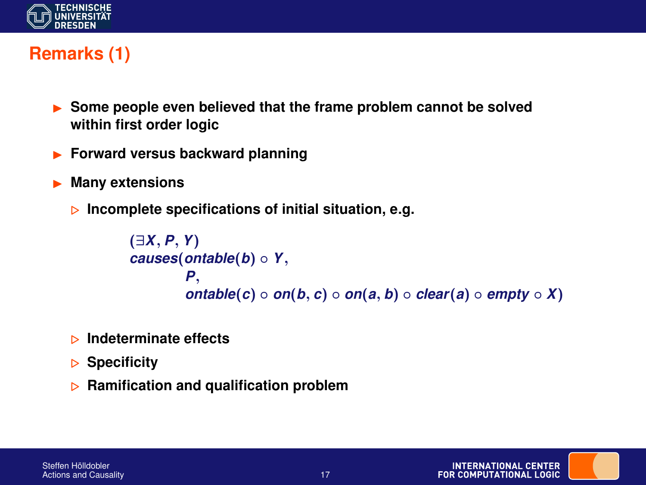

# **Remarks (1)**

- **If Some people even believed that the frame problem cannot be solved within first order logic**
- I **Forward versus backward planning**
- I **Many extensions**
	- . **Incomplete specifications of initial situation, e.g.**

```
(∃X, P, Y)
causes(ontable(b) ◦ Y,
        P,
        ontable(c) ◦ on(b, c) ◦ on(a, b) ◦ clear(a) ◦ empty \circ X)
```
- . **Indeterminate effects**
- . **Specificity**
- **EXAMPLE 20 Ramification problem**